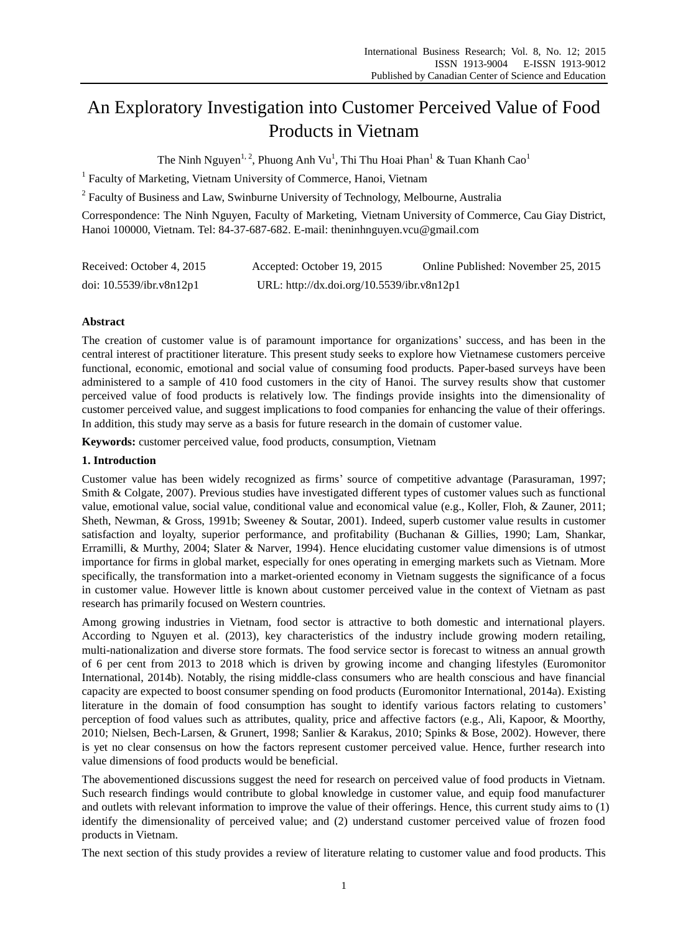# An Exploratory Investigation into Customer Perceived Value of Food Products in Vietnam

The Ninh Nguyen<sup>1, 2</sup>, Phuong Anh Vu<sup>1</sup>, Thi Thu Hoai Phan<sup>1</sup> & Tuan Khanh Cao<sup>1</sup>

<sup>1</sup> Faculty of Marketing, Vietnam University of Commerce, Hanoi, Vietnam

<sup>2</sup> Faculty of Business and Law, Swinburne University of Technology, Melbourne, Australia

Correspondence: The Ninh Nguyen, Faculty of Marketing, Vietnam University of Commerce, Cau Giay District, Hanoi 100000, Vietnam. Tel: 84-37-687-682. E-mail: theninhnguyen.vcu@gmail.com

| Received: October 4, 2015   | Accepted: October 19, 2015                 | Online Published: November 25, 2015 |
|-----------------------------|--------------------------------------------|-------------------------------------|
| doi: $10.5539$ /ibr.v8n12p1 | URL: http://dx.doi.org/10.5539/ibr.v8n12p1 |                                     |

### **Abstract**

The creation of customer value is of paramount importance for organizations" success, and has been in the central interest of practitioner literature. This present study seeks to explore how Vietnamese customers perceive functional, economic, emotional and social value of consuming food products. Paper-based surveys have been administered to a sample of 410 food customers in the city of Hanoi. The survey results show that customer perceived value of food products is relatively low. The findings provide insights into the dimensionality of customer perceived value, and suggest implications to food companies for enhancing the value of their offerings. In addition, this study may serve as a basis for future research in the domain of customer value.

**Keywords:** customer perceived value, food products, consumption, Vietnam

#### **1. Introduction**

Customer value has been widely recognized as firms" source of competitive advantage (Parasuraman, 1997; Smith & Colgate, 2007). Previous studies have investigated different types of customer values such as functional value, emotional value, social value, conditional value and economical value (e.g., Koller, Floh, & Zauner, 2011; Sheth, Newman, & Gross, 1991b; Sweeney & Soutar, 2001). Indeed, superb customer value results in customer satisfaction and loyalty, superior performance, and profitability (Buchanan & Gillies, 1990; Lam, Shankar, Erramilli, & Murthy, 2004; Slater & Narver, 1994). Hence elucidating customer value dimensions is of utmost importance for firms in global market, especially for ones operating in emerging markets such as Vietnam. More specifically, the transformation into a market-oriented economy in Vietnam suggests the significance of a focus in customer value. However little is known about customer perceived value in the context of Vietnam as past research has primarily focused on Western countries.

Among growing industries in Vietnam, food sector is attractive to both domestic and international players. According to Nguyen et al. (2013), key characteristics of the industry include growing modern retailing, multi-nationalization and diverse store formats. The food service sector is forecast to witness an annual growth of 6 per cent from 2013 to 2018 which is driven by growing income and changing lifestyles (Euromonitor International, 2014b). Notably, the rising middle-class consumers who are health conscious and have financial capacity are expected to boost consumer spending on food products (Euromonitor International, 2014a). Existing literature in the domain of food consumption has sought to identify various factors relating to customers' perception of food values such as attributes, quality, price and affective factors (e.g., Ali, Kapoor, & Moorthy, 2010; Nielsen, Bech-Larsen, & Grunert, 1998; Sanlier & Karakus, 2010; Spinks & Bose, 2002). However, there is yet no clear consensus on how the factors represent customer perceived value. Hence, further research into value dimensions of food products would be beneficial.

The abovementioned discussions suggest the need for research on perceived value of food products in Vietnam. Such research findings would contribute to global knowledge in customer value, and equip food manufacturer and outlets with relevant information to improve the value of their offerings. Hence, this current study aims to (1) identify the dimensionality of perceived value; and (2) understand customer perceived value of frozen food products in Vietnam.

The next section of this study provides a review of literature relating to customer value and food products. This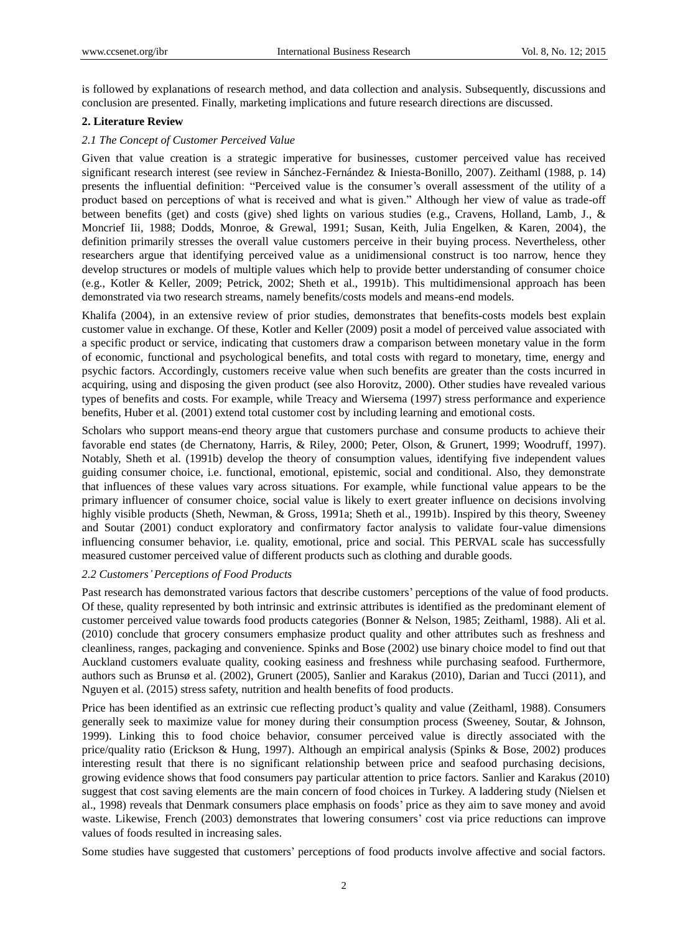is followed by explanations of research method, and data collection and analysis. Subsequently, discussions and conclusion are presented. Finally, marketing implications and future research directions are discussed.

#### **2. Literature Review**

#### *2.1 The Concept of Customer Perceived Value*

Given that value creation is a strategic imperative for businesses, customer perceived value has received significant research interest (see review in Sánchez-Fernández & Iniesta-Bonillo, 2007). Zeithaml (1988, p. 14) presents the influential definition: "Perceived value is the consumer"s overall assessment of the utility of a product based on perceptions of what is received and what is given." Although her view of value as trade-off between benefits (get) and costs (give) shed lights on various studies (e.g., Cravens, Holland, Lamb, J., & Moncrief Iii, 1988; Dodds, Monroe, & Grewal, 1991; Susan, Keith, Julia Engelken, & Karen, 2004), the definition primarily stresses the overall value customers perceive in their buying process. Nevertheless, other researchers argue that identifying perceived value as a unidimensional construct is too narrow, hence they develop structures or models of multiple values which help to provide better understanding of consumer choice (e.g., Kotler & Keller, 2009; Petrick, 2002; Sheth et al., 1991b). This multidimensional approach has been demonstrated via two research streams, namely benefits/costs models and means-end models.

Khalifa (2004), in an extensive review of prior studies, demonstrates that benefits-costs models best explain customer value in exchange. Of these, Kotler and Keller (2009) posit a model of perceived value associated with a specific product or service, indicating that customers draw a comparison between monetary value in the form of economic, functional and psychological benefits, and total costs with regard to monetary, time, energy and psychic factors. Accordingly, customers receive value when such benefits are greater than the costs incurred in acquiring, using and disposing the given product (see also Horovitz, 2000). Other studies have revealed various types of benefits and costs. For example, while Treacy and Wiersema (1997) stress performance and experience benefits, Huber et al. (2001) extend total customer cost by including learning and emotional costs.

Scholars who support means-end theory argue that customers purchase and consume products to achieve their favorable end states (de Chernatony, Harris, & Riley, 2000; Peter, Olson, & Grunert, 1999; Woodruff, 1997). Notably, Sheth et al. (1991b) develop the theory of consumption values, identifying five independent values guiding consumer choice, i.e. functional, emotional, epistemic, social and conditional. Also, they demonstrate that influences of these values vary across situations. For example, while functional value appears to be the primary influencer of consumer choice, social value is likely to exert greater influence on decisions involving highly visible products (Sheth, Newman, & Gross, 1991a; Sheth et al., 1991b). Inspired by this theory, Sweeney and Soutar (2001) conduct exploratory and confirmatory factor analysis to validate four-value dimensions influencing consumer behavior, i.e. quality, emotional, price and social. This PERVAL scale has successfully measured customer perceived value of different products such as clothing and durable goods.

#### *2.2 Customers'Perceptions of Food Products*

Past research has demonstrated various factors that describe customers" perceptions of the value of food products. Of these, quality represented by both intrinsic and extrinsic attributes is identified as the predominant element of customer perceived value towards food products categories (Bonner & Nelson, 1985; Zeithaml, 1988). Ali et al. (2010) conclude that grocery consumers emphasize product quality and other attributes such as freshness and cleanliness, ranges, packaging and convenience. Spinks and Bose (2002) use binary choice model to find out that Auckland customers evaluate quality, cooking easiness and freshness while purchasing seafood. Furthermore, authors such as Brunsø et al. (2002), Grunert (2005), Sanlier and Karakus (2010), Darian and Tucci (2011), and Nguyen et al. (2015) stress safety, nutrition and health benefits of food products.

Price has been identified as an extrinsic cue reflecting product's quality and value (Zeithaml, 1988). Consumers generally seek to maximize value for money during their consumption process (Sweeney, Soutar, & Johnson, 1999). Linking this to food choice behavior, consumer perceived value is directly associated with the price/quality ratio (Erickson & Hung, 1997). Although an empirical analysis (Spinks & Bose, 2002) produces interesting result that there is no significant relationship between price and seafood purchasing decisions, growing evidence shows that food consumers pay particular attention to price factors. Sanlier and Karakus (2010) suggest that cost saving elements are the main concern of food choices in Turkey. A laddering study (Nielsen et al., 1998) reveals that Denmark consumers place emphasis on foods" price as they aim to save money and avoid waste. Likewise, French (2003) demonstrates that lowering consumers" cost via price reductions can improve values of foods resulted in increasing sales.

Some studies have suggested that customers" perceptions of food products involve affective and social factors.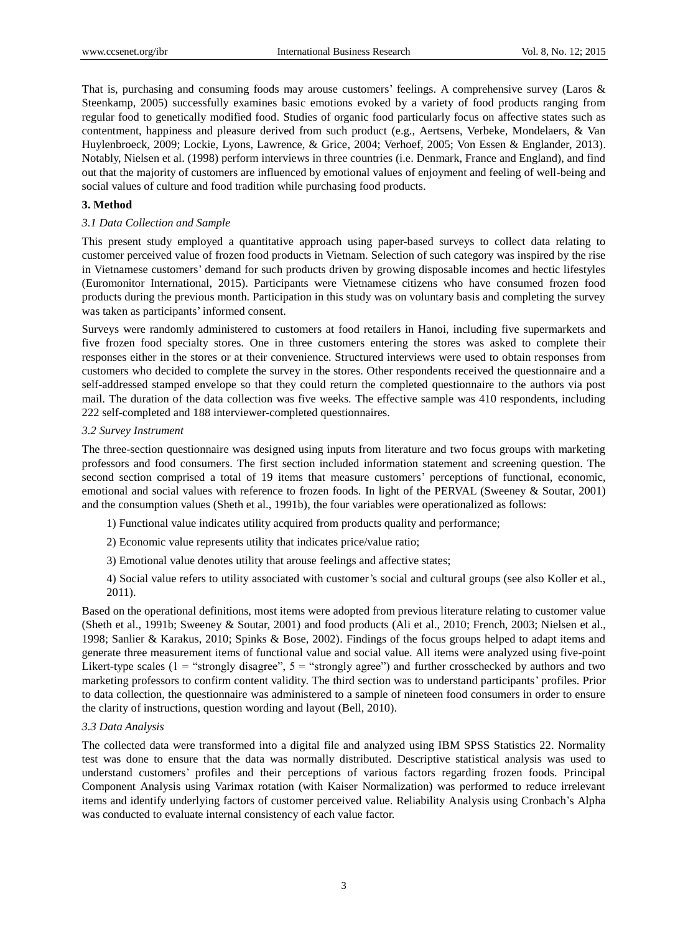That is, purchasing and consuming foods may arouse customers' feelings. A comprehensive survey (Laros  $\&$ Steenkamp, 2005) successfully examines basic emotions evoked by a variety of food products ranging from regular food to genetically modified food. Studies of organic food particularly focus on affective states such as contentment, happiness and pleasure derived from such product (e.g., Aertsens, Verbeke, Mondelaers, & Van Huylenbroeck, 2009; Lockie, Lyons, Lawrence, & Grice, 2004; Verhoef, 2005; Von Essen & Englander, 2013). Notably, Nielsen et al. (1998) perform interviews in three countries (i.e. Denmark, France and England), and find out that the majority of customers are influenced by emotional values of enjoyment and feeling of well-being and social values of culture and food tradition while purchasing food products.

# **3. Method**

### *3.1 Data Collection and Sample*

This present study employed a quantitative approach using paper-based surveys to collect data relating to customer perceived value of frozen food products in Vietnam. Selection of such category was inspired by the rise in Vietnamese customers" demand for such products driven by growing disposable incomes and hectic lifestyles (Euromonitor International, 2015). Participants were Vietnamese citizens who have consumed frozen food products during the previous month. Participation in this study was on voluntary basis and completing the survey was taken as participants' informed consent.

Surveys were randomly administered to customers at food retailers in Hanoi, including five supermarkets and five frozen food specialty stores. One in three customers entering the stores was asked to complete their responses either in the stores or at their convenience. Structured interviews were used to obtain responses from customers who decided to complete the survey in the stores. Other respondents received the questionnaire and a self-addressed stamped envelope so that they could return the completed questionnaire to the authors via post mail. The duration of the data collection was five weeks. The effective sample was 410 respondents, including 222 self-completed and 188 interviewer-completed questionnaires.

### *3.2 Survey Instrument*

The three-section questionnaire was designed using inputs from literature and two focus groups with marketing professors and food consumers. The first section included information statement and screening question. The second section comprised a total of 19 items that measure customers' perceptions of functional, economic, emotional and social values with reference to frozen foods. In light of the PERVAL (Sweeney & Soutar, 2001) and the consumption values (Sheth et al., 1991b), the four variables were operationalized as follows:

- 1) Functional value indicates utility acquired from products quality and performance;
- 2) Economic value represents utility that indicates price/value ratio;
- 3) Emotional value denotes utility that arouse feelings and affective states;
- 4) Social value refers to utility associated with customer"s social and cultural groups (see also Koller et al., 2011).

Based on the operational definitions, most items were adopted from previous literature relating to customer value (Sheth et al., 1991b; Sweeney & Soutar, 2001) and food products (Ali et al., 2010; French, 2003; Nielsen et al., 1998; Sanlier & Karakus, 2010; Spinks & Bose, 2002). Findings of the focus groups helped to adapt items and generate three measurement items of functional value and social value. All items were analyzed using five-point Likert-type scales (1 = "strongly disagree",  $5 =$  "strongly agree") and further crosschecked by authors and two marketing professors to confirm content validity. The third section was to understand participants" profiles. Prior to data collection, the questionnaire was administered to a sample of nineteen food consumers in order to ensure the clarity of instructions, question wording and layout (Bell, 2010).

### *3.3 Data Analysis*

The collected data were transformed into a digital file and analyzed using IBM SPSS Statistics 22. Normality test was done to ensure that the data was normally distributed. Descriptive statistical analysis was used to understand customers" profiles and their perceptions of various factors regarding frozen foods. Principal Component Analysis using Varimax rotation (with Kaiser Normalization) was performed to reduce irrelevant items and identify underlying factors of customer perceived value. Reliability Analysis using Cronbach"s Alpha was conducted to evaluate internal consistency of each value factor.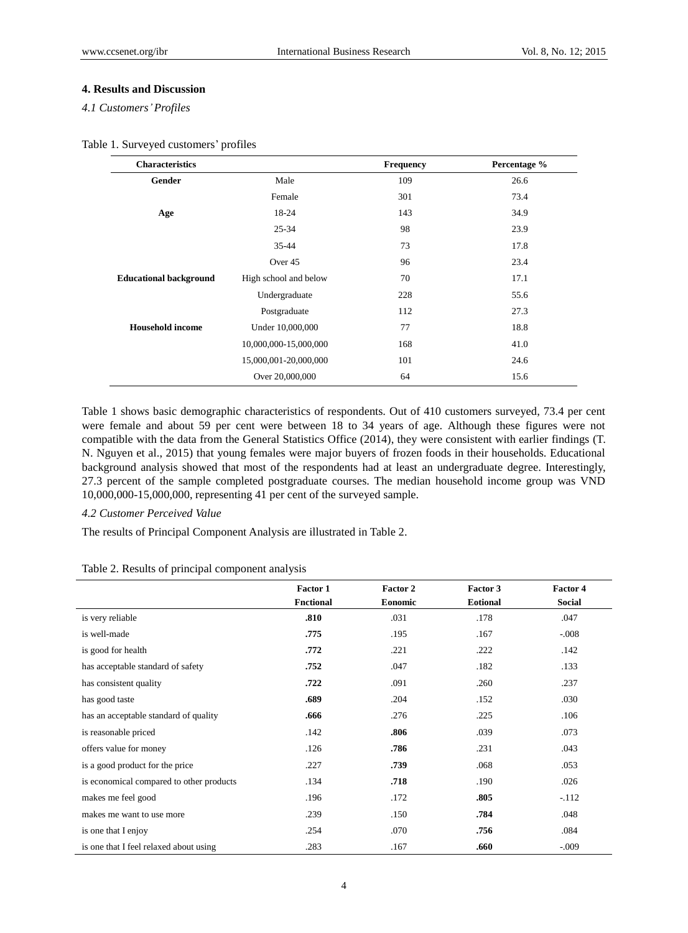# **4. Results and Discussion**

*4.1 Customers'Profiles*

|  | Table 1. Surveyed customers' profiles |
|--|---------------------------------------|
|--|---------------------------------------|

| <b>Characteristics</b>        |                       | <b>Frequency</b> | Percentage % |
|-------------------------------|-----------------------|------------------|--------------|
| Gender                        | Male                  | 109              | 26.6         |
|                               | Female                | 301              | 73.4         |
| Age                           | 18-24                 | 143              | 34.9         |
|                               | $25 - 34$             | 98               | 23.9         |
|                               | 35-44                 | 73               | 17.8         |
|                               | Over 45               | 96               | 23.4         |
| <b>Educational background</b> | High school and below | 70               | 17.1         |
|                               | Undergraduate         | 228              | 55.6         |
|                               | Postgraduate          | 112              | 27.3         |
| <b>Household income</b>       | Under 10,000,000      | 77               | 18.8         |
|                               | 10,000,000-15,000,000 | 168              | 41.0         |
|                               | 15,000,001-20,000,000 | 101              | 24.6         |
|                               | Over 20,000,000       | 64               | 15.6         |

Table 1 shows basic demographic characteristics of respondents. Out of 410 customers surveyed, 73.4 per cent were female and about 59 per cent were between 18 to 34 years of age. Although these figures were not compatible with the data from the General Statistics Office (2014), they were consistent with earlier findings (T. N. Nguyen et al., 2015) that young females were major buyers of frozen foods in their households. Educational background analysis showed that most of the respondents had at least an undergraduate degree. Interestingly, 27.3 percent of the sample completed postgraduate courses. The median household income group was VND 10,000,000-15,000,000, representing 41 per cent of the surveyed sample.

# *4.2 Customer Perceived Value*

The results of Principal Component Analysis are illustrated in Table 2.

|                                          | Factor 1         | Factor 2 | Factor 3        | Factor 4      |
|------------------------------------------|------------------|----------|-----------------|---------------|
|                                          | <b>Fnctional</b> | Eonomic  | <b>Eotional</b> | <b>Social</b> |
| is very reliable                         | .810             | .031     | .178            | .047          |
| is well-made                             | .775             | .195     | .167            | $-0.08$       |
| is good for health                       | .772             | .221     | .222            | .142          |
| has acceptable standard of safety        | .752             | .047     | .182            | .133          |
| has consistent quality                   | .722             | .091     | .260            | .237          |
| has good taste                           | .689             | .204     | .152            | .030          |
| has an acceptable standard of quality    | .666             | .276     | .225            | .106          |
| is reasonable priced                     | .142             | .806     | .039            | .073          |
| offers value for money                   | .126             | .786     | .231            | .043          |
| is a good product for the price          | .227             | .739     | .068            | .053          |
| is economical compared to other products | .134             | .718     | .190            | .026          |
| makes me feel good                       | .196             | .172     | .805            | $-112$        |
| makes me want to use more                | .239             | .150     | .784            | .048          |
| is one that I enjoy                      | .254             | .070     | .756            | .084          |
| is one that I feel relaxed about using   | .283             | .167     | .660            | $-0.09$       |

Table 2. Results of principal component analysis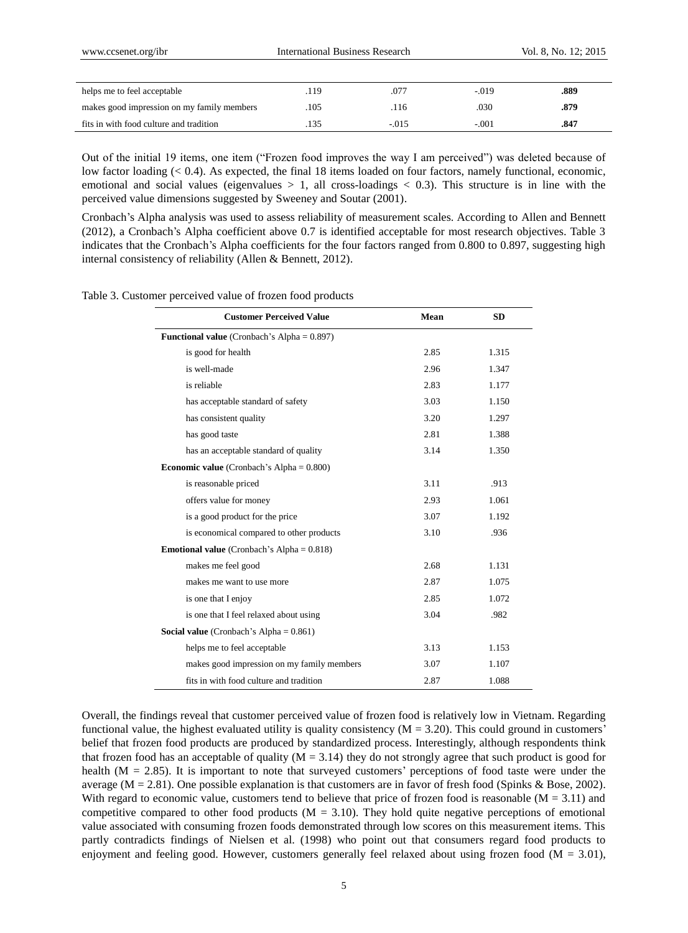| www.ccsenet.org/ibr                        | <b>International Business Research</b> |         | Vol. 8, No. 12; 2015 |      |
|--------------------------------------------|----------------------------------------|---------|----------------------|------|
|                                            |                                        |         |                      |      |
| helps me to feel acceptable                | .119                                   | .077    | $-.019$              | .889 |
| makes good impression on my family members | .105                                   | .116    | .030                 | .879 |
| fits in with food culture and tradition    | .135                                   | $-.015$ | $-.001$              | .847 |

Out of the initial 19 items, one item ("Frozen food improves the way I am perceived") was deleted because of low factor loading  $(< 0.4)$ . As expected, the final 18 items loaded on four factors, namely functional, economic, emotional and social values (eigenvalues  $> 1$ , all cross-loadings  $< 0.3$ ). This structure is in line with the perceived value dimensions suggested by Sweeney and Soutar (2001).

Cronbach"s Alpha analysis was used to assess reliability of measurement scales. According to Allen and Bennett (2012), a Cronbach"s Alpha coefficient above 0.7 is identified acceptable for most research objectives. Table 3 indicates that the Cronbach's Alpha coefficients for the four factors ranged from 0.800 to 0.897, suggesting high internal consistency of reliability (Allen & Bennett, 2012).

Table 3. Customer perceived value of frozen food products

| <b>Customer Perceived Value</b>                      | Mean | <b>SD</b> |
|------------------------------------------------------|------|-----------|
| <b>Functional value</b> (Cronbach's Alpha = 0.897)   |      |           |
| is good for health                                   | 2.85 | 1.315     |
| is well-made                                         | 2.96 | 1.347     |
| is reliable                                          | 2.83 | 1.177     |
| has acceptable standard of safety                    | 3.03 | 1.150     |
| has consistent quality                               | 3.20 | 1.297     |
| has good taste                                       | 2.81 | 1.388     |
| has an acceptable standard of quality                | 3.14 | 1.350     |
| <b>Economic value</b> (Cronbach's Alpha = $0.800$ )  |      |           |
| is reasonable priced                                 | 3.11 | .913      |
| offers value for money                               | 2.93 | 1.061     |
| is a good product for the price                      | 3.07 | 1.192     |
| is economical compared to other products             | 3.10 | .936      |
| <b>Emotional value</b> (Cronbach's Alpha = $0.818$ ) |      |           |
| makes me feel good                                   | 2.68 | 1.131     |
| makes me want to use more                            | 2.87 | 1.075     |
| is one that I enjoy                                  | 2.85 | 1.072     |
| is one that I feel relaxed about using               | 3.04 | .982      |
| <b>Social value</b> (Cronbach's Alpha = $0.861$ )    |      |           |
| helps me to feel acceptable                          | 3.13 | 1.153     |
| makes good impression on my family members           | 3.07 | 1.107     |
| fits in with food culture and tradition              | 2.87 | 1.088     |

Overall, the findings reveal that customer perceived value of frozen food is relatively low in Vietnam. Regarding functional value, the highest evaluated utility is quality consistency  $(M = 3.20)$ . This could ground in customers' belief that frozen food products are produced by standardized process. Interestingly, although respondents think that frozen food has an acceptable of quality  $(M = 3.14)$  they do not strongly agree that such product is good for health ( $M = 2.85$ ). It is important to note that surveyed customers' perceptions of food taste were under the average ( $M = 2.81$ ). One possible explanation is that customers are in favor of fresh food (Spinks & Bose, 2002). With regard to economic value, customers tend to believe that price of frozen food is reasonable  $(M = 3.11)$  and competitive compared to other food products ( $M = 3.10$ ). They hold quite negative perceptions of emotional value associated with consuming frozen foods demonstrated through low scores on this measurement items. This partly contradicts findings of Nielsen et al. (1998) who point out that consumers regard food products to enjoyment and feeling good. However, customers generally feel relaxed about using frozen food  $(M = 3.01)$ ,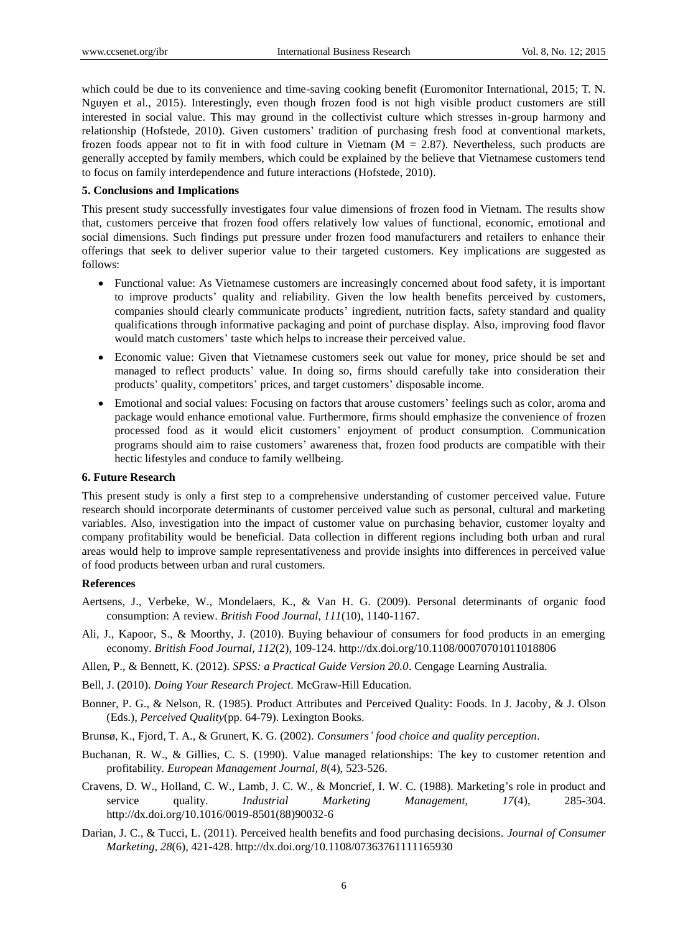which could be due to its convenience and time-saving cooking benefit (Euromonitor International, 2015; T. N. Nguyen et al., 2015). Interestingly, even though frozen food is not high visible product customers are still interested in social value. This may ground in the collectivist culture which stresses in-group harmony and relationship (Hofstede, 2010). Given customers" tradition of purchasing fresh food at conventional markets, frozen foods appear not to fit in with food culture in Vietnam  $(M = 2.87)$ . Nevertheless, such products are generally accepted by family members, which could be explained by the believe that Vietnamese customers tend to focus on family interdependence and future interactions (Hofstede, 2010).

# **5. Conclusions and Implications**

This present study successfully investigates four value dimensions of frozen food in Vietnam. The results show that, customers perceive that frozen food offers relatively low values of functional, economic, emotional and social dimensions. Such findings put pressure under frozen food manufacturers and retailers to enhance their offerings that seek to deliver superior value to their targeted customers. Key implications are suggested as follows:

- Functional value: As Vietnamese customers are increasingly concerned about food safety, it is important to improve products" quality and reliability. Given the low health benefits perceived by customers, companies should clearly communicate products' ingredient, nutrition facts, safety standard and quality qualifications through informative packaging and point of purchase display. Also, improving food flavor would match customers" taste which helps to increase their perceived value.
- Economic value: Given that Vietnamese customers seek out value for money, price should be set and managed to reflect products" value. In doing so, firms should carefully take into consideration their products" quality, competitors" prices, and target customers" disposable income.
- Emotional and social values: Focusing on factors that arouse customers' feelings such as color, aroma and package would enhance emotional value. Furthermore, firms should emphasize the convenience of frozen processed food as it would elicit customers" enjoyment of product consumption. Communication programs should aim to raise customers" awareness that, frozen food products are compatible with their hectic lifestyles and conduce to family wellbeing.

#### **6. Future Research**

This present study is only a first step to a comprehensive understanding of customer perceived value. Future research should incorporate determinants of customer perceived value such as personal, cultural and marketing variables. Also, investigation into the impact of customer value on purchasing behavior, customer loyalty and company profitability would be beneficial. Data collection in different regions including both urban and rural areas would help to improve sample representativeness and provide insights into differences in perceived value of food products between urban and rural customers.

#### **References**

- Aertsens, J., Verbeke, W., Mondelaers, K., & Van H. G. (2009). Personal determinants of organic food consumption: A review. *British Food Journal, 111*(10), 1140-1167.
- Ali, J., Kapoor, S., & Moorthy, J. (2010). Buying behaviour of consumers for food products in an emerging economy. *British Food Journal, 112*(2), 109-124. http://dx.doi.org/10.1108/00070701011018806
- Allen, P., & Bennett, K. (2012). *SPSS: a Practical Guide Version 20.0*. Cengage Learning Australia.
- Bell, J. (2010). *Doing Your Research Project*. McGraw-Hill Education.
- Bonner, P. G., & Nelson, R. (1985). Product Attributes and Perceived Quality: Foods. In J. Jacoby, & J. Olson (Eds.), *Perceived Quality*(pp. 64-79). Lexington Books.
- Brunsø, K., Fjord, T. A., & Grunert, K. G. (2002). *Consumers' food choice and quality perception*.
- Buchanan, R. W., & Gillies, C. S. (1990). Value managed relationships: The key to customer retention and profitability. *European Management Journal, 8*(4), 523-526.
- Cravens, D. W., Holland, C. W., Lamb, J. C. W., & Moncrief, I. W. C. (1988). Marketing"s role in product and service quality. *Industrial Marketing Management, 17*(4), 285-304. [http://dx.doi.org/10.1016/0019-8501\(88\)90032-6](http://dx.doi.org/10.1016/0019-8501(88)90032-6)
- Darian, J. C., & Tucci, L. (2011). Perceived health benefits and food purchasing decisions. *Journal of Consumer Marketing, 28*(6), 421-428. http://dx.doi.org/10.1108/07363761111165930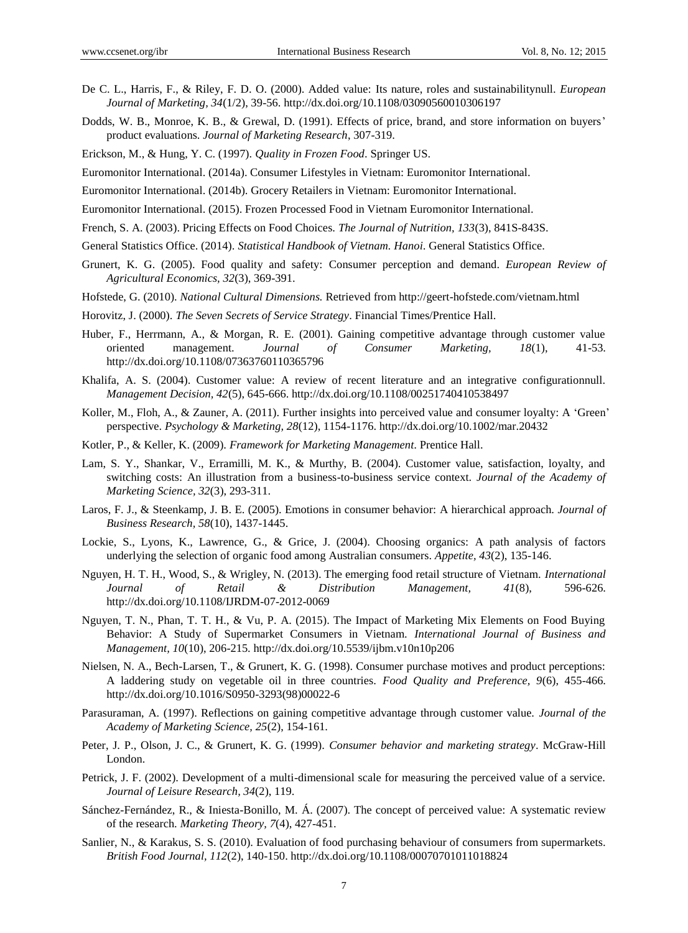- De C. L., Harris, F., & Riley, F. D. O. (2000). Added value: Its nature, roles and sustainabilitynull. *European Journal of Marketing, 34*(1/2), 39-56. http://dx.doi.org/10.1108/03090560010306197
- Dodds, W. B., Monroe, K. B., & Grewal, D. (1991). Effects of price, brand, and store information on buyers' product evaluations. *Journal of Marketing Research*, 307-319.
- Erickson, M., & Hung, Y. C. (1997). *Quality in Frozen Food*. Springer US.
- Euromonitor International. (2014a). Consumer Lifestyles in Vietnam: Euromonitor International.
- Euromonitor International. (2014b). Grocery Retailers in Vietnam: Euromonitor International.
- Euromonitor International. (2015). Frozen Processed Food in Vietnam Euromonitor International.
- French, S. A. (2003). Pricing Effects on Food Choices. *The Journal of Nutrition, 133*(3), 841S-843S.
- General Statistics Office. (2014). *Statistical Handbook of Vietnam. Hanoi.* General Statistics Office.
- Grunert, K. G. (2005). Food quality and safety: Consumer perception and demand. *European Review of Agricultural Economics, 32*(3), 369-391.
- Hofstede, G. (2010). *National Cultural Dimensions.* Retrieved from <http://geert-hofstede.com/vietnam.html>
- Horovitz, J. (2000). *The Seven Secrets of Service Strategy*. Financial Times/Prentice Hall.
- Huber, F., Herrmann, A., & Morgan, R. E. (2001). Gaining competitive advantage through customer value oriented management. *Journal of Consumer Marketing, 18*(1), 41-53. http://dx.doi.org/10.1108/07363760110365796
- Khalifa, A. S. (2004). Customer value: A review of recent literature and an integrative configurationnull. *Management Decision, 42*(5), 645-666. http://dx.doi.org/10.1108/00251740410538497
- Koller, M., Floh, A., & Zauner, A. (2011). Further insights into perceived value and consumer loyalty: A 'Green' perspective. *Psychology & Marketing, 28*(12), 1154-1176. http://dx.doi.org/10.1002/mar.20432
- Kotler, P., & Keller, K. (2009). *Framework for Marketing Management.* Prentice Hall.
- Lam, S. Y., Shankar, V., Erramilli, M. K., & Murthy, B. (2004). Customer value, satisfaction, loyalty, and switching costs: An illustration from a business-to-business service context. *Journal of the Academy of Marketing Science, 32*(3), 293-311.
- Laros, F. J., & Steenkamp, J. B. E. (2005). Emotions in consumer behavior: A hierarchical approach. *Journal of Business Research, 58*(10), 1437-1445.
- Lockie, S., Lyons, K., Lawrence, G., & Grice, J. (2004). Choosing organics: A path analysis of factors underlying the selection of organic food among Australian consumers. *Appetite, 43*(2), 135-146.
- Nguyen, H. T. H., Wood, S., & Wrigley, N. (2013). The emerging food retail structure of Vietnam. *International Journal of Retail & Distribution Management, 41*(8), 596-626. http://dx.doi.org/10.1108/IJRDM-07-2012-0069
- Nguyen, T. N., Phan, T. T. H., & Vu, P. A. (2015). The Impact of Marketing Mix Elements on Food Buying Behavior: A Study of Supermarket Consumers in Vietnam. *International Journal of Business and Management, 10*(10), 206-215. http://dx.doi.org/10.5539/ijbm.v10n10p206
- Nielsen, N. A., Bech-Larsen, T., & Grunert, K. G. (1998). Consumer purchase motives and product perceptions: A laddering study on vegetable oil in three countries. *Food Quality and Preference, 9*(6), 455-466. [http://dx.doi.org/10.1016/S0950-3293\(98\)00022-6](http://dx.doi.org/10.1016/S0950-3293(98)00022-6)
- Parasuraman, A. (1997). Reflections on gaining competitive advantage through customer value. *Journal of the Academy of Marketing Science, 25*(2), 154-161.
- Peter, J. P., Olson, J. C., & Grunert, K. G. (1999). *Consumer behavior and marketing strategy*. McGraw-Hill London.
- Petrick, J. F. (2002). Development of a multi-dimensional scale for measuring the perceived value of a service. *Journal of Leisure Research, 34*(2), 119.
- Sánchez-Fernández, R., & Iniesta-Bonillo, M. Á . (2007). The concept of perceived value: A systematic review of the research. *Marketing Theory, 7*(4), 427-451.
- Sanlier, N., & Karakus, S. S. (2010). Evaluation of food purchasing behaviour of consumers from supermarkets. *British Food Journal, 112*(2), 140-150. http://dx.doi.org/10.1108/00070701011018824